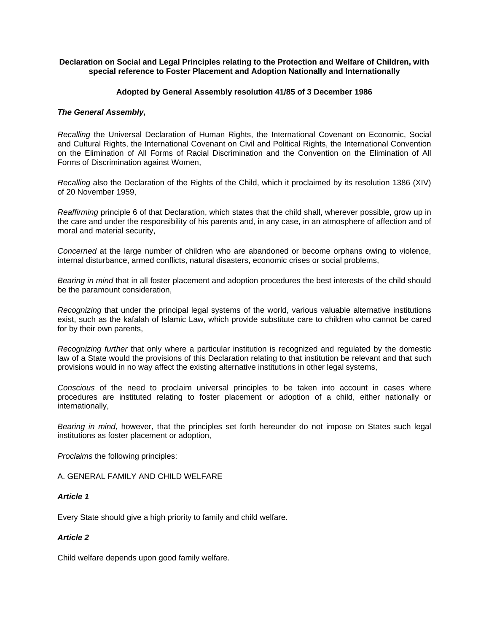### **Declaration on Social and Legal Principles relating to the Protection and Welfare of Children, with special reference to Foster Placement and Adoption Nationally and Internationally**

### **Adopted by General Assembly resolution 41/85 of 3 December 1986**

## *The General Assembly,*

*Recalling* the Universal Declaration of Human Rights, the International Covenant on Economic, Social and Cultural Rights, the International Covenant on Civil and Political Rights, the International Convention on the Elimination of All Forms of Racial Discrimination and the Convention on the Elimination of All Forms of Discrimination against Women,

*Recalling* also the Declaration of the Rights of the Child, which it proclaimed by its resolution 1386 (XIV) of 20 November 1959,

*Reaffirming* principle 6 of that Declaration, which states that the child shall, wherever possible, grow up in the care and under the responsibility of his parents and, in any case, in an atmosphere of affection and of moral and material security,

*Concerned* at the large number of children who are abandoned or become orphans owing to violence, internal disturbance, armed conflicts, natural disasters, economic crises or social problems,

*Bearing in mind* that in all foster placement and adoption procedures the best interests of the child should be the paramount consideration,

*Recognizing* that under the principal legal systems of the world, various valuable alternative institutions exist, such as the kafalah of Islamic Law, which provide substitute care to children who cannot be cared for by their own parents,

*Recognizing further* that only where a particular institution is recognized and regulated by the domestic law of a State would the provisions of this Declaration relating to that institution be relevant and that such provisions would in no way affect the existing alternative institutions in other legal systems,

*Conscious* of the need to proclaim universal principles to be taken into account in cases where procedures are instituted relating to foster placement or adoption of a child, either nationally or internationally,

*Bearing in mind,* however, that the principles set forth hereunder do not impose on States such legal institutions as foster placement or adoption,

*Proclaims* the following principles:

A. GENERAL FAMILY AND CHILD WELFARE

### *Article 1*

Every State should give a high priority to family and child welfare.

### *Article 2*

Child welfare depends upon good family welfare.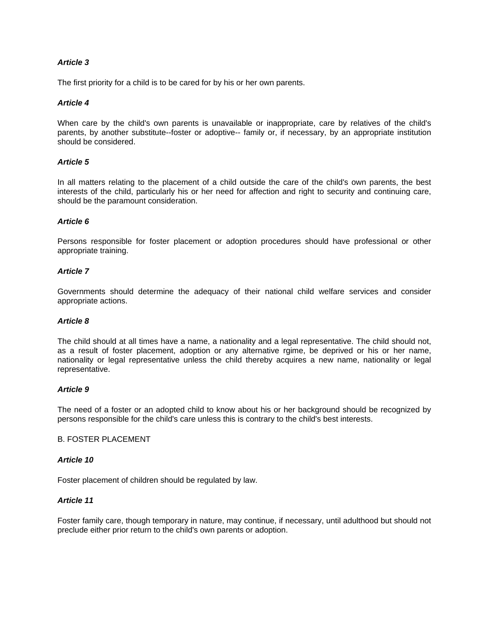# *Article 3*

The first priority for a child is to be cared for by his or her own parents.

# *Article 4*

When care by the child's own parents is unavailable or inappropriate, care by relatives of the child's parents, by another substitute--foster or adoptive-- family or, if necessary, by an appropriate institution should be considered.

## *Article 5*

In all matters relating to the placement of a child outside the care of the child's own parents, the best interests of the child, particularly his or her need for affection and right to security and continuing care, should be the paramount consideration.

## *Article 6*

Persons responsible for foster placement or adoption procedures should have professional or other appropriate training.

### *Article 7*

Governments should determine the adequacy of their national child welfare services and consider appropriate actions.

### *Article 8*

The child should at all times have a name, a nationality and a legal representative. The child should not, as a result of foster placement, adoption or any alternative rgime, be deprived or his or her name, nationality or legal representative unless the child thereby acquires a new name, nationality or legal representative.

### *Article 9*

The need of a foster or an adopted child to know about his or her background should be recognized by persons responsible for the child's care unless this is contrary to the child's best interests.

## B. FOSTER PLACEMENT

### *Article 10*

Foster placement of children should be regulated by law.

## *Article 11*

Foster family care, though temporary in nature, may continue, if necessary, until adulthood but should not preclude either prior return to the child's own parents or adoption.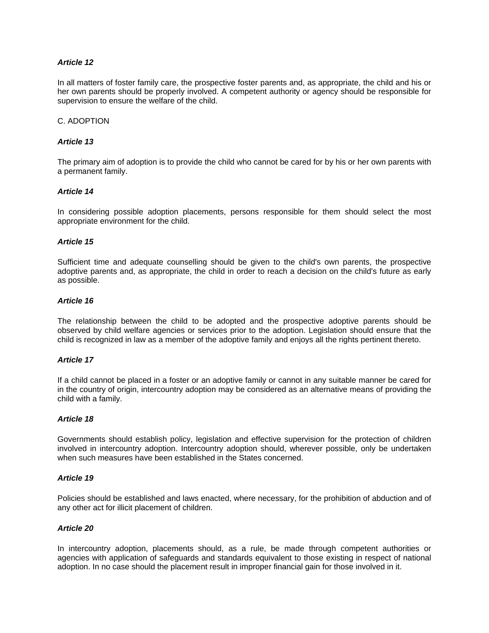## *Article 12*

In all matters of foster family care, the prospective foster parents and, as appropriate, the child and his or her own parents should be properly involved. A competent authority or agency should be responsible for supervision to ensure the welfare of the child.

### C. ADOPTION

### *Article 13*

The primary aim of adoption is to provide the child who cannot be cared for by his or her own parents with a permanent family.

### *Article 14*

In considering possible adoption placements, persons responsible for them should select the most appropriate environment for the child.

### *Article 15*

Sufficient time and adequate counselling should be given to the child's own parents, the prospective adoptive parents and, as appropriate, the child in order to reach a decision on the child's future as early as possible.

### *Article 16*

The relationship between the child to be adopted and the prospective adoptive parents should be observed by child welfare agencies or services prior to the adoption. Legislation should ensure that the child is recognized in law as a member of the adoptive family and enjoys all the rights pertinent thereto.

### *Article 17*

If a child cannot be placed in a foster or an adoptive family or cannot in any suitable manner be cared for in the country of origin, intercountry adoption may be considered as an alternative means of providing the child with a family.

### *Article 18*

Governments should establish policy, legislation and effective supervision for the protection of children involved in intercountry adoption. Intercountry adoption should, wherever possible, only be undertaken when such measures have been established in the States concerned.

#### *Article 19*

Policies should be established and laws enacted, where necessary, for the prohibition of abduction and of any other act for illicit placement of children.

### *Article 20*

In intercountry adoption, placements should, as a rule, be made through competent authorities or agencies with application of safeguards and standards equivalent to those existing in respect of national adoption. In no case should the placement result in improper financial gain for those involved in it.